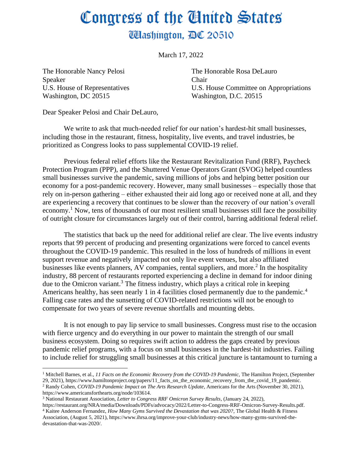## Congress of the United States **Washington, DC 20510**

March 17, 2022

The Honorable Nancy Pelosi Speaker U.S. House of Representatives Washington, DC 20515

The Honorable Rosa DeLauro Chair U.S. House Committee on Appropriations Washington, D.C. 20515

Dear Speaker Pelosi and Chair DeLauro,

We write to ask that much-needed relief for our nation's hardest-hit small businesses, including those in the restaurant, fitness, hospitality, live events, and travel industries, be prioritized as Congress looks to pass supplemental COVID-19 relief.

Previous federal relief efforts like the Restaurant Revitalization Fund (RRF), Paycheck Protection Program (PPP), and the Shuttered Venue Operators Grant (SVOG) helped countless small businesses survive the pandemic, saving millions of jobs and helping better position our economy for a post-pandemic recovery. However, many small businesses – especially those that rely on in-person gathering – either exhausted their aid long ago or received none at all, and they are experiencing a recovery that continues to be slower than the recovery of our nation's overall economy.<sup>1</sup> Now, tens of thousands of our most resilient small businesses still face the possibility of outright closure for circumstances largely out of their control, barring additional federal relief.

The statistics that back up the need for additional relief are clear. The live events industry reports that 99 percent of producing and presenting organizations were forced to cancel events throughout the COVID-19 pandemic. This resulted in the loss of hundreds of millions in event support revenue and negatively impacted not only live event venues, but also affiliated businesses like events planners, AV companies, rental suppliers, and more.<sup>2</sup> In the hospitality industry, 88 percent of restaurants reported experiencing a decline in demand for indoor dining due to the Omicron variant.<sup>3</sup> The fitness industry, which plays a critical role in keeping Americans healthy, has seen nearly 1 in 4 facilities closed permanently due to the pandemic.<sup>4</sup> Falling case rates and the sunsetting of COVID-related restrictions will not be enough to compensate for two years of severe revenue shortfalls and mounting debts.

It is not enough to pay lip service to small businesses. Congress must rise to the occasion with fierce urgency and do everything in our power to maintain the strength of our small business ecosystem. Doing so requires swift action to address the gaps created by previous pandemic relief programs, with a focus on small businesses in the hardest-hit industries. Failing to include relief for struggling small businesses at this critical juncture is tantamount to turning a

<sup>1</sup> Mitchell Barnes, et al., *11 Facts on the Economic Recovery from the COVID-19 Pandemic,* The Hamilton Project, (September 29, 2021), https://www.hamiltonproject.org/papers/11\_facts\_on\_the\_economic\_recovery\_from\_the\_covid\_19\_pandemic.

<sup>2</sup> Randy Cohen, *COVID-19 Pandemic Impact on The Arts Research Update*, Americans for the Arts (November 30, 2021), https://www.americansforthearts.org/node/103614.

<sup>3</sup> National Restaurant Association, *Letter to Congress RRF Omicron Survey Results*, (January 24, 2022),

https://restaurant.org/NRA/media/Downloads/PDFs/advocacy/2022/Letter-to-Congress-RRF-Omicron-Survey-Results.pdf. <sup>4</sup> Kaitee Anderson Fernandez, *How Many Gyms Survived the Devastation that was 2020?*, The Global Health & Fitness Association, (August 5, 2021), https://www.ihrsa.org/improve-your-club/industry-news/how-many-gyms-survived-thedevastation-that-was-2020/.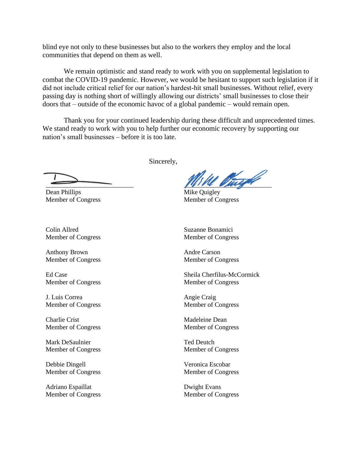blind eye not only to these businesses but also to the workers they employ and the local communities that depend on them as well.

We remain optimistic and stand ready to work with you on supplemental legislation to combat the COVID-19 pandemic. However, we would be hesitant to support such legislation if it did not include critical relief for our nation's hardest-hit small businesses. Without relief, every passing day is nothing short of willingly allowing our districts' small businesses to close their doors that – outside of the economic havoc of a global pandemic – would remain open.

Thank you for your continued leadership during these difficult and unprecedented times. We stand ready to work with you to help further our economic recovery by supporting our nation's small businesses – before it is too late.

 $\overline{\phantom{a}}$ 

Dean Phillips Member of Congress

Colin Allred Member of Congress

Anthony Brown Member of Congress

Ed Case Member of Congress

J. Luis Correa Member of Congress

Charlie Crist Member of Congress

Mark DeSaulnier Member of Congress

Debbie Dingell Member of Congress

Adriano Espaillat Member of Congress Sincerely,

Warra M

Mike Quigley Member of Congress

Suzanne Bonamici Member of Congress

Andre Carson Member of Congress

Sheila Cherfilus-McCormick Member of Congress

Angie Craig Member of Congress

Madeleine Dean Member of Congress

Ted Deutch Member of Congress

Veronica Escobar Member of Congress

Dwight Evans Member of Congress